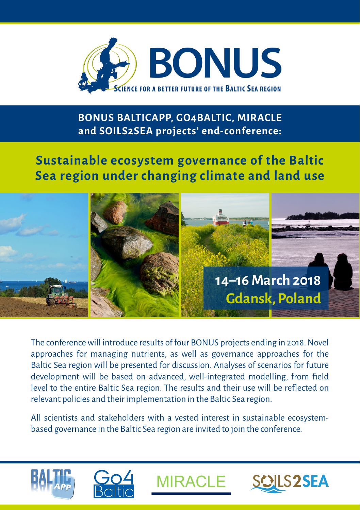

## **BONUS BALTICAPP, GO4BALTIC, MIRACLE and SOILS2SEA projects' end-conference:**

# **Sustainable ecosystem governance of the Baltic Sea region under changing climate and land use**



The conference will introduce results of four BONUS projects ending in 2018. Novel approaches for managing nutrients, as well as governance approaches for the Baltic Sea region will be presented for discussion. Analyses of scenarios for future development will be based on advanced, well-integrated modelling, from field level to the entire Baltic Sea region. The results and their use will be reflected on relevant policies and their implementation in the Baltic Sea region.

All scientists and stakeholders with a vested interest in sustainable ecosystembased governance in the Baltic Sea region are invited to join the conference.